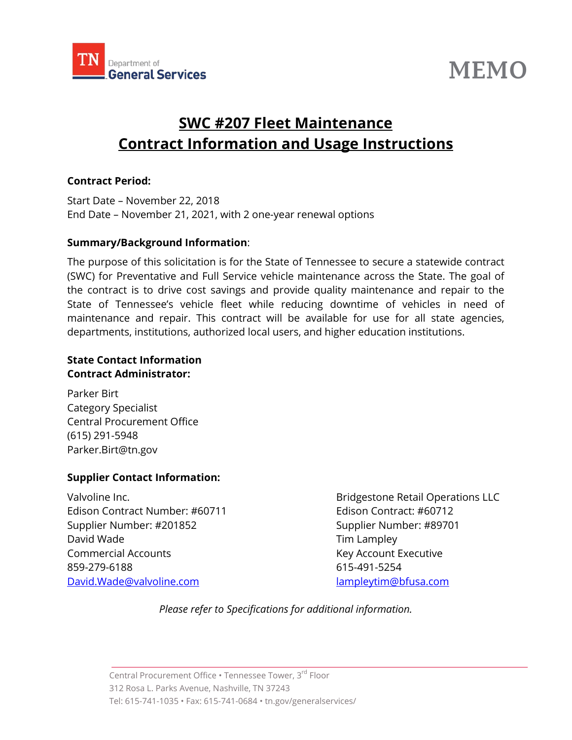

# **MEMO**

# **SWC #207 Fleet Maintenance Contract Information and Usage Instructions**

#### **Contract Period:**

Start Date – November 22, 2018 End Date – November 21, 2021, with 2 one-year renewal options

#### **Summary/Background Information**:

The purpose of this solicitation is for the State of Tennessee to secure a statewide contract (SWC) for Preventative and Full Service vehicle maintenance across the State. The goal of the contract is to drive cost savings and provide quality maintenance and repair to the State of Tennessee's vehicle fleet while reducing downtime of vehicles in need of maintenance and repair. This contract will be available for use for all state agencies, departments, institutions, authorized local users, and higher education institutions.

#### **State Contact Information Contract Administrator:**

Parker Birt Category Specialist Central Procurement Office (615) 291-5948 Parker.Birt@tn.gov

### **Supplier Contact Information:**

Edison Contract Number: #60711 Edison Contract: #60712 Supplier Number: #201852 Supplier Number: #89701 David Wade **Tim Lampley** Commercial Accounts **Key Account Executive** 859-279-6188 615-491-5254 [David.Wade@valvoline.com](mailto:David.Wade@valvoline.com) [lampleytim@bfusa.com](mailto:lampleytim@bfusa.com)

Valvoline Inc. **Bridgestone Retail Operations LLC** 

*Please refer to Specifications for additional information.*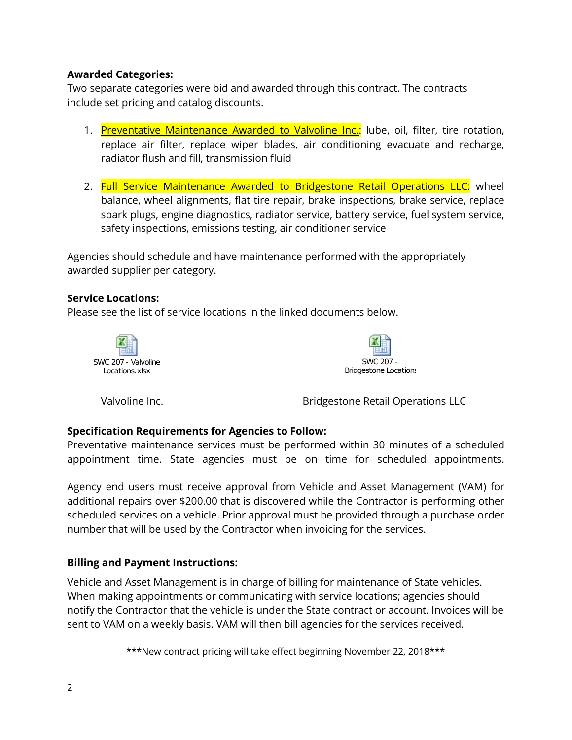## **Awarded Categories:**

Two separate categories were bid and awarded through this contract. The contracts include set pricing and catalog discounts.

- 1. Preventative Maintenance Awarded to Valvoline Inc.: lube, oil, filter, tire rotation, replace air filter, replace wiper blades, air conditioning evacuate and recharge, radiator flush and fill, transmission fluid
- 2. Full Service Maintenance Awarded to Bridgestone Retail Operations LLC: wheel balance, wheel alignments, flat tire repair, brake inspections, brake service, replace spark plugs, engine diagnostics, radiator service, battery service, fuel system service, safety inspections, emissions testing, air conditioner service

Agencies should schedule and have maintenance performed with the appropriately awarded supplier per category.

### **Service Locations:**

Please see the list of service locations in the linked documents below.





Valvoline Inc. **Bridgestone Retail Operations LLC** 

### **Specification Requirements for Agencies to Follow:**

Preventative maintenance services must be performed within 30 minutes of a scheduled appointment time. State agencies must be on time for scheduled appointments.

Agency end users must receive approval from Vehicle and Asset Management (VAM) for additional repairs over \$200.00 that is discovered while the Contractor is performing other scheduled services on a vehicle. Prior approval must be provided through a purchase order number that will be used by the Contractor when invoicing for the services.

### **Billing and Payment Instructions:**

Vehicle and Asset Management is in charge of billing for maintenance of State vehicles. When making appointments or communicating with service locations; agencies should notify the Contractor that the vehicle is under the State contract or account. Invoices will be sent to VAM on a weekly basis. VAM will then bill agencies for the services received.

\*\*\*New contract pricing will take effect beginning November 22, 2018\*\*\*